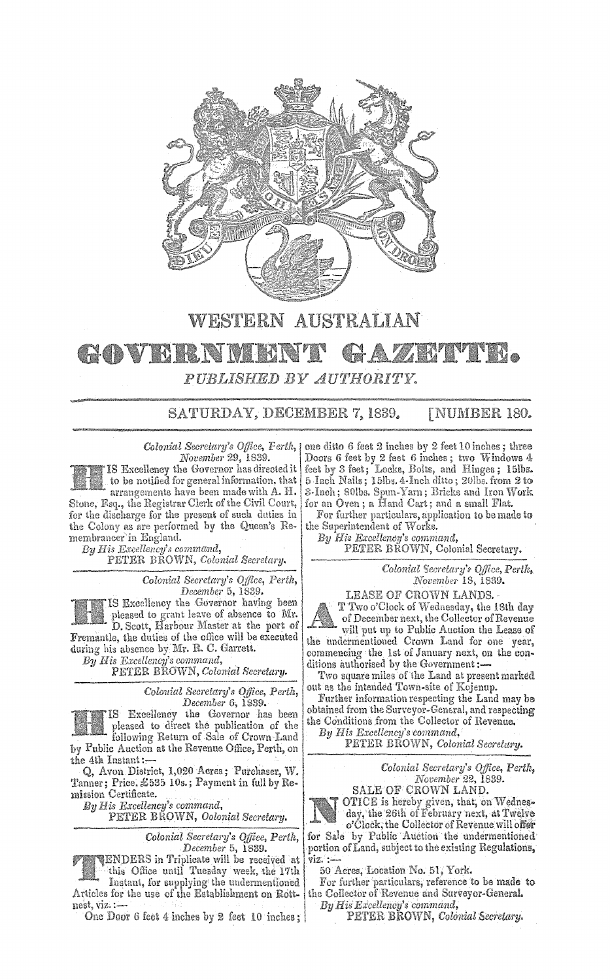

## **WESTERN AUSTRALIAN ANTIFE** GOVERNIE 47 A *PUBLISHED BY AUTHORITY.*

SATURDAY, DECEMBER 7, 1839. [NUMBER 180.

*November* 29, 1839.



 $By\ H$ is Excellency's command,

PETER BROWN, *Colonial Secretary.* 

*Colonial Secretary's Office, Perth, December* 5, 1839.

IS Excellency the Governor having been pleased to grant leave of absence to Mr. D. Scott, Harbour l\Iaster **at** fbe port of Fremantle, the duties of the office will be executed during his absence by Mr. R. C. Garrett.<br>By His Excellency's command,

*By His Excellency's command,* . PETER BROWN, *Colonial Secretary.* 

*Colouial Secretary's Ojfice, Perth, December* 6, 1SS9.

IS Excellency the Governor has been pleased to direct the pubiication of the following Return of Sale of Crown Land by Public Auction at the Revenue Office, Perth, on **the** 4tk Instant:-

Q, Avon District, 1,020 Acres; Purchaser, W. Tanner; Price, £535 10s.; Payment in full by Remiasion Certificate.

 $By His\ Excellency's\ command,$ 

PETER BROWN, *Oolonial Secretary,* 

*Colonial Secretary's Office, Perth, Dtcember* 5, 1839.

ENDERS in Triplicate will be received **at**  · this Office until Tueaday week, the 17th

Instant, for supplying the undermentioned Articles for the use of the Establishment on Rottnest, viz. :-

One Door 6 feet 4 inches by 2 feet 10 inches;

*Colonial Secretary's Office, Ferth*, *|* one ditto 6 feet 2 inches by 2 feet 10 inches; three Doors 6 feet by 2 feet 6 inches; two Windows  $4$ feet by 3 feet; Locks, Bolts, and Hinges; 15lbs. 5 Inch Nails; 15lbs. 4 Inch ditto; 20lbs. from 2 to 3-Inch; SOlbs. Spun-Yarn; Bricks and Iron Work for an Oven; a Hand Cart; and a small Flat.

For further particulars, application to be made to the Superintendent of Works.

By His Excellency's command,

PETER BROWN, Colonial Secretary.

*Colonial Secretary', Qtfice, Perth. Kovember* 18, 1839.

LEASE OF CROWN LANDS.

T Two o'Clock of Wednesday, the 18th **day**  of December next, the Collector of Revenue will put up to Public Auction the Lease of the undermentioned Crown Land for one year, commencing the 1st of January next, on the conditions authorised by the Government:-

Two square miles of the Land at present marked out as the intended Town-site of Kojenup.

Further information respecting the Land may be obtained from the Surveyor-General, and respecting the Conditions from the Collector of Revenue.

*By His Excellency's command,* 

PETER BROWN, Colonial *Secretary.* 

Colonial Secretary's Office, Perth, *November* 22,

SALE OF CROWN LAND. OTICE is hereby given, that, on Wednes• day, the 26th of February next, at **Twelve**  o'Clock, the Collector of Revenue will one

for Sale by Public Auction the undermentioned portion of Land, subject to the existing Regulations, VIZ,:-

50 Acres, Location No. 51, York.

For further particulars, reference to be made to the Collector of Revenue and Surveyor-General.

*By Hilf Excellency's command,* 

PETER BROWN, *Colonial Secretary.*